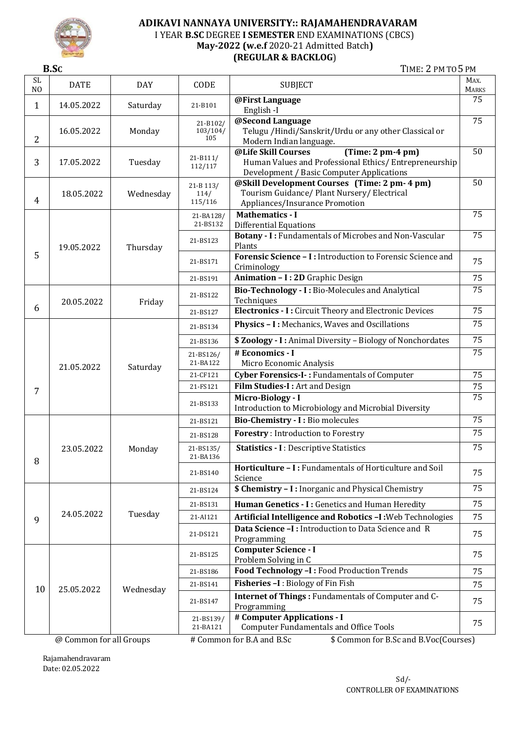

### **ADIKAVI NANNAYA UNIVERSITY:: RAJAMAHENDRAVARAM** I YEAR **B.SC** DEGREE **I SEMESTER** END EXAMINATIONS (CBCS) **May-2022 (w.e.f** 2020-21 Admitted Batch**) (REGULAR & BACKLOG**)

**B.SC** TIME: 2 PM TO 5PM

| SL<br>N <sub>O</sub> | <b>DATE</b> | <b>DAY</b> | CODE                             | <b>SUBJECT</b>                                                                                                                                    | MAX.<br><b>MARKS</b> |
|----------------------|-------------|------------|----------------------------------|---------------------------------------------------------------------------------------------------------------------------------------------------|----------------------|
| 1                    | 14.05.2022  | Saturday   | 21-B101                          | @First Language<br>English-I                                                                                                                      | 75                   |
| $\overline{2}$       | 16.05.2022  | Monday     | 21-B102/<br>103/104/<br>105      | @Second Language<br>Telugu / Hindi/Sanskrit/Urdu or any other Classical or<br>Modern Indian language.                                             | 75                   |
| 3                    | 17.05.2022  | Tuesday    | $21 - B111/$<br>112/117          | @Life Skill Courses<br>$(Time: 2 pm-4 pm)$<br>Human Values and Professional Ethics/ Entrepreneurship<br>Development / Basic Computer Applications | 50                   |
| $\overline{4}$       | 18.05.2022  | Wednesday  | $21 - B$ 113/<br>114/<br>115/116 | @Skill Development Courses (Time: 2 pm- 4 pm)<br>Tourism Guidance/ Plant Nursery/ Electrical<br>Appliances/Insurance Promotion                    | 50                   |
|                      |             |            | 21-BA128/<br>21-BS132            | <b>Mathematics - I</b><br><b>Differential Equations</b>                                                                                           | 75                   |
|                      | 19.05.2022  | Thursday   | 21-BS123                         | Botany - I: Fundamentals of Microbes and Non-Vascular<br>Plants                                                                                   | 75                   |
| 5                    |             |            | 21-BS171                         | Forensic Science - I: Introduction to Forensic Science and<br>Criminology                                                                         | 75                   |
|                      |             |            | 21-BS191                         | Animation - I: 2D Graphic Design                                                                                                                  | 75                   |
|                      | 20.05.2022  | Friday     | 21-BS122                         | Bio-Technology - I: Bio-Molecules and Analytical<br>Techniques                                                                                    | 75                   |
| 6                    |             |            | 21-BS127                         | Electronics - I : Circuit Theory and Electronic Devices                                                                                           | $\overline{75}$      |
|                      | 21.05.2022  | Saturday   | 21-BS134                         | Physics - I: Mechanics, Waves and Oscillations                                                                                                    | 75                   |
|                      |             |            | 21-BS136                         | \$ Zoology - I: Animal Diversity - Biology of Nonchordates                                                                                        | 75                   |
|                      |             |            | 21-BS126/<br>21-BA122            | # Economics - I<br>Micro Economic Analysis                                                                                                        | 75                   |
|                      |             |            | 21-CF121                         | Cyber Forensics-I -: Fundamentals of Computer                                                                                                     | 75                   |
| 7                    |             |            | 21-FS121                         | Film Studies-I: Art and Design                                                                                                                    | 75                   |
|                      |             |            | 21-BS133                         | Micro-Biology - I<br>Introduction to Microbiology and Microbial Diversity                                                                         | 75                   |
|                      |             |            | 21-BS121                         | Bio-Chemistry - I : Bio molecules                                                                                                                 | $\overline{75}$      |
|                      | 23.05.2022  |            | 21-BS128                         | <b>Forestry:</b> Introduction to Forestry                                                                                                         | 75                   |
| 8                    |             | Monday     | 21-BS135/<br>21-BA136            | <b>Statistics - I</b> : Descriptive Statistics                                                                                                    | 75                   |
|                      |             |            | 21-BS140                         | Horticulture - I: Fundamentals of Horticulture and Soil<br>Science                                                                                | 75                   |
|                      | 24.05.2022  | Tuesday    | 21-BS124                         | <b>\$ Chemistry - I:</b> Inorganic and Physical Chemistry                                                                                         | 75                   |
|                      |             |            | 21-BS131                         | Human Genetics - I: Genetics and Human Heredity                                                                                                   | 75                   |
| 9                    |             |            | 21-AI121                         | Artificial Intelligence and Robotics -I: Web Technologies                                                                                         | 75                   |
|                      |             |            | 21-DS121                         | Data Science -I : Introduction to Data Science and R<br>Programming                                                                               | 75                   |
| 10                   | 25.05.2022  | Wednesday  | 21-BS125                         | <b>Computer Science - I</b><br>Problem Solving in C                                                                                               | 75                   |
|                      |             |            | 21-BS186                         | Food Technology -I : Food Production Trends                                                                                                       | 75                   |
|                      |             |            | 21-BS141                         | Fisheries -I: Biology of Fin Fish                                                                                                                 | 75                   |
|                      |             |            | 21-BS147                         | Internet of Things : Fundamentals of Computer and C-<br>Programming                                                                               | 75                   |
|                      |             |            | 21-BS139/<br>21-BA121            | # Computer Applications - I<br><b>Computer Fundamentals and Office Tools</b>                                                                      | 75                   |

@ Common for all Groups # Common for B.A and B.Sc \$ Common for B.Sc and B.Voc(Courses)

Rajamahendravaram Date: 02.05.2022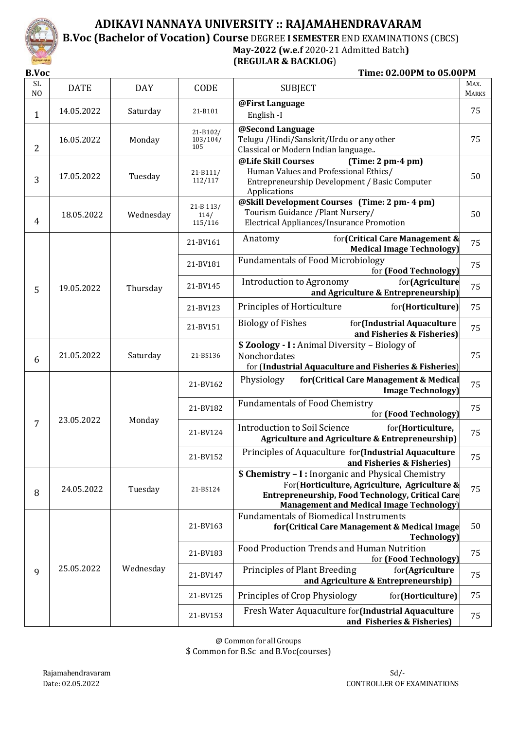

### **ADIKAVI NANNAYA UNIVERSITY :: RAJAMAHENDRAVARAM B.Voc (Bachelor of Vocation) Course** DEGREE **I SEMESTER** END EXAMINATIONS (CBCS)  **May-2022 (w.e.f** 2020-21 Admitted Batch**) (REGULAR & BACKLOG**)

**B.Voc** Time: 02.00PM to 05.00PM

| <b>SL</b><br>N <sub>O</sub> | <b>DATE</b> | <b>DAY</b> | CODE                         | <b>SUBJECT</b>                                                                                                                                                                                                    | MAX.<br><b>MARKS</b>                                                                                                   |
|-----------------------------|-------------|------------|------------------------------|-------------------------------------------------------------------------------------------------------------------------------------------------------------------------------------------------------------------|------------------------------------------------------------------------------------------------------------------------|
| $\mathbf{1}$                | 14.05.2022  | Saturday   | 21-B101                      | @First Language<br>English-I                                                                                                                                                                                      | 75                                                                                                                     |
| $\overline{2}$              | 16.05.2022  | Monday     | 21-B102/<br>103/104/<br>105  | @Second Language<br>Telugu / Hindi/Sanskrit/Urdu or any other<br>Classical or Modern Indian language                                                                                                              | 75                                                                                                                     |
| 3                           | 17.05.2022  | Tuesday    | $21 - B111/$<br>112/117      | @Life Skill Courses<br>$(Time: 2 pm-4 pm)$<br>Human Values and Professional Ethics/<br>Entrepreneurship Development / Basic Computer<br>Applications                                                              | 50                                                                                                                     |
| 4                           | 18.05.2022  | Wednesday  | 21-B 113/<br>114/<br>115/116 | @Skill Development Courses (Time: 2 pm- 4 pm)<br>Tourism Guidance / Plant Nursery/<br>Electrical Appliances/Insurance Promotion                                                                                   | 50                                                                                                                     |
|                             |             |            | 21-BV161                     | for (Critical Care Management &<br>Anatomy<br><b>Medical Image Technology)</b>                                                                                                                                    | 75                                                                                                                     |
|                             |             |            | 21-BV181                     | <b>Fundamentals of Food Microbiology</b><br>for (Food Technology)                                                                                                                                                 | 75                                                                                                                     |
| 5                           | 19.05.2022  | Thursday   | 21-BV145                     | Introduction to Agronomy<br>for(Agriculture<br>and Agriculture & Entrepreneurship)                                                                                                                                | 75                                                                                                                     |
|                             |             |            | 21-BV123                     | Principles of Horticulture<br>for(Horticulture)                                                                                                                                                                   | 75                                                                                                                     |
|                             |             |            | 21-BV151                     | <b>Biology of Fishes</b><br>for(Industrial Aquaculture<br>and Fisheries & Fisheries)                                                                                                                              | 75                                                                                                                     |
| 6                           | 21.05.2022  | Saturday   | 21-BS136                     | \$ Zoology - I: Animal Diversity - Biology of<br>Nonchordates<br>for (Industrial Aquaculture and Fisheries & Fisheries)                                                                                           | 75                                                                                                                     |
|                             | 23.05.2022  |            | 21-BV162                     | Physiology<br>for (Critical Care Management & Medical<br><b>Image Technology</b> )                                                                                                                                | 75                                                                                                                     |
|                             |             |            | 21-BV182                     | <b>Fundamentals of Food Chemistry</b><br>for (Food Technology)                                                                                                                                                    | 75                                                                                                                     |
| 7                           |             |            | Monday                       | 21-BV124                                                                                                                                                                                                          | <b>Introduction to Soil Science</b><br>for(Horticulture,<br><b>Agriculture and Agriculture &amp; Entrepreneurship)</b> |
|                             |             |            | 21-BV152                     | Principles of Aquaculture for (Industrial Aquaculture<br>and Fisheries & Fisheries)                                                                                                                               | 75                                                                                                                     |
| 8                           | 24.05.2022  | Tuesday    | 21-BS124                     | <b>\$ Chemistry - I:</b> Inorganic and Physical Chemistry<br>For (Horticulture, Agriculture, Agriculture &<br>Entrepreneurship, Food Technology, Critical Care<br><b>Management and Medical Image Technology)</b> | 75                                                                                                                     |
|                             |             |            | 21-BV163                     | <b>Fundamentals of Biomedical Instruments</b><br>for (Critical Care Management & Medical Image<br><b>Technology</b> )                                                                                             | 50                                                                                                                     |
| 9                           | 25.05.2022  |            | 21-BV183                     | Food Production Trends and Human Nutrition<br>for (Food Technology)                                                                                                                                               | 75                                                                                                                     |
|                             |             | Wednesday  | 21-BV147                     | Principles of Plant Breeding<br>for(Agriculture<br>and Agriculture & Entrepreneurship)                                                                                                                            | 75                                                                                                                     |
|                             |             |            | 21-BV125                     | Principles of Crop Physiology<br>for(Horticulture)                                                                                                                                                                | 75                                                                                                                     |
|                             |             |            |                              | 21-BV153                                                                                                                                                                                                          | Fresh Water Aquaculture for (Industrial Aquaculture<br>and Fisheries & Fisheries)                                      |

@ Common for all Groups \$ Common for B.Sc and B.Voc(courses)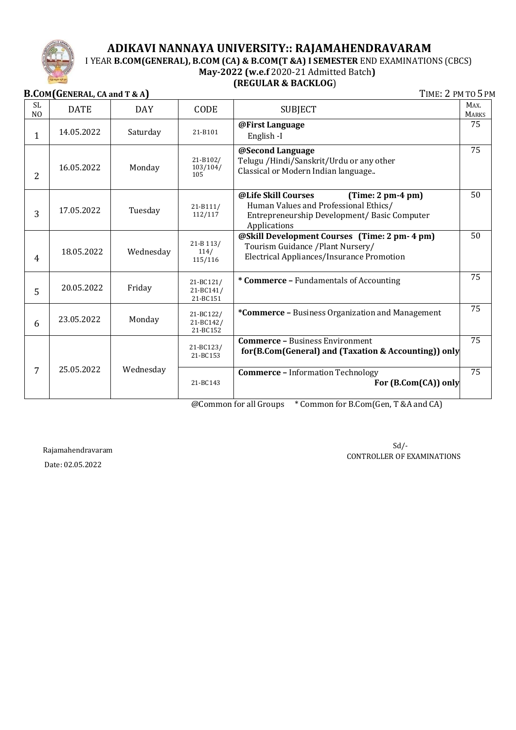

## **ADIKAVI NANNAYA UNIVERSITY:: RAJAMAHENDRAVARAM**

## I YEAR **B.COM(GENERAL), B.COM (CA) & B.COM(T &A) I SEMESTER** END EXAMINATIONS (CBCS)

## **May-2022 (w.e.f** 2020-21 Admitted Batch**)**

### **(REGULAR & BACKLOG**)

**B.COM(GENERAL, CA** and **T & A**) **TIME: 2 PM TO 5 PM** 

| <b>SL</b><br>N <sub>O</sub> | <b>DATE</b> | <b>DAY</b> | CODE                               | <b>SUBJECT</b>                                                                                                                                      | MAX.<br><b>MARKS</b> |
|-----------------------------|-------------|------------|------------------------------------|-----------------------------------------------------------------------------------------------------------------------------------------------------|----------------------|
| $\mathbf{1}$                | 14.05.2022  | Saturday   | 21-B101                            | @First Language<br>English -I                                                                                                                       | 75                   |
| $\overline{2}$              | 16.05.2022  | Monday     | 21-B102/<br>103/104/<br>105        | @Second Language<br>Telugu / Hindi/Sanskrit/Urdu or any other<br>Classical or Modern Indian language                                                | 75                   |
| 3                           | 17.05.2022  | Tuesday    | $21 - B111/$<br>112/117            | @Life Skill Courses<br>$(Time: 2 pm-4 pm)$<br>Human Values and Professional Ethics/<br>Entrepreneurship Development/ Basic Computer<br>Applications | 50                   |
| 4                           | 18.05.2022  | Wednesday  | 21-B 113/<br>114/<br>115/116       | @Skill Development Courses (Time: 2 pm- 4 pm)<br>Tourism Guidance / Plant Nursery/<br>Electrical Appliances/Insurance Promotion                     | 50                   |
| 5                           | 20.05.2022  | Friday     | 21-BC121/<br>21-BC141/<br>21-BC151 | * Commerce - Fundamentals of Accounting                                                                                                             | 75                   |
| 6                           | 23.05.2022  | Monday     | 21-BC122/<br>21-BC142/<br>21-BC152 | *Commerce - Business Organization and Management                                                                                                    | 75                   |
|                             |             |            | 21-BC123/<br>21-BC153              | <b>Commerce - Business Environment</b><br>for (B.Com (General) and (Taxation & Accounting)) only                                                    | 75                   |
| 7                           | 25.05.2022  | Wednesday  | 21-BC143                           | <b>Commerce - Information Technology</b><br>For (B.Com(CA)) only                                                                                    | 75                   |

@Common for all Groups \* Common for B.Com(Gen, T &A and CA)

Rajamahendravaram Date: 02.05.2022

 $Sd$ <sup>-</sup> CONTROLLER OF EXAMINATIONS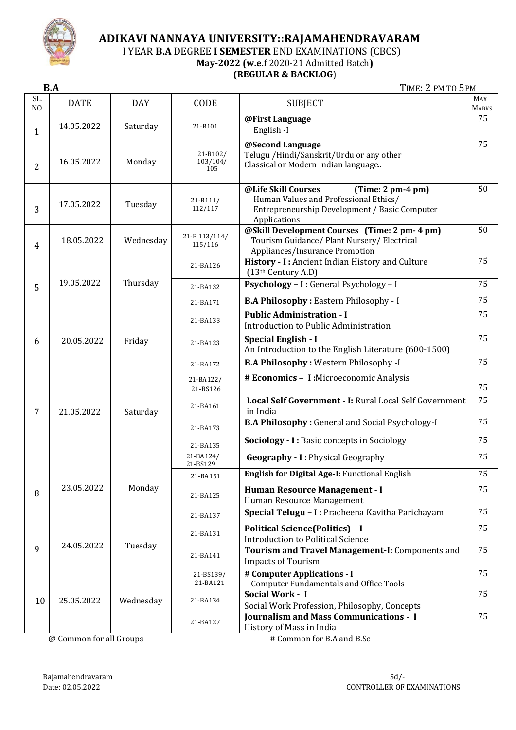

## **ADIKAVI NANNAYA UNIVERSITY::RAJAMAHENDRAVARAM**

I YEAR **B.A** DEGREE **I SEMESTER** END EXAMINATIONS (CBCS)

**May-2022 (w.e.f** 2020-21 Admitted Batch**)**

### **(REGULAR & BACKLOG**)

**B.A** TIME: 2 PM TO 5 PM

| SL.<br>N <sub>O</sub> | <b>DATE</b> | <b>DAY</b> | CODE                        | <b>SUBJECT</b>                                                                                                                                       | <b>MAX</b><br><b>MARKS</b>                                                         |
|-----------------------|-------------|------------|-----------------------------|------------------------------------------------------------------------------------------------------------------------------------------------------|------------------------------------------------------------------------------------|
| 1                     | 14.05.2022  | Saturday   | 21-B101                     | @First Language<br>English-I                                                                                                                         | 75                                                                                 |
| $\overline{2}$        | 16.05.2022  | Monday     | 21-B102/<br>103/104/<br>105 | @Second Language<br>Telugu / Hindi/Sanskrit/Urdu or any other<br>Classical or Modern Indian language                                                 | 75                                                                                 |
| 3                     | 17.05.2022  | Tuesday    | $21 - B111/$<br>112/117     | @Life Skill Courses<br>$(Time: 2 pm-4 pm)$<br>Human Values and Professional Ethics/<br>Entrepreneurship Development / Basic Computer<br>Applications | 50                                                                                 |
| 4                     | 18.05.2022  | Wednesday  | 21-B 113/114/<br>115/116    | @Skill Development Courses (Time: 2 pm- 4 pm)<br>Tourism Guidance/ Plant Nursery/ Electrical<br>Appliances/Insurance Promotion                       | 50                                                                                 |
|                       |             |            | 21-BA126                    | History - I: Ancient Indian History and Culture<br>(13th Century A.D)                                                                                | 75<br>75<br>$\overline{75}$<br>75<br>75<br>75<br>75<br>$\overline{75}$<br>75<br>75 |
| 5                     | 19.05.2022  | Thursday   | 21-BA132                    | Psychology - I : General Psychology - I                                                                                                              |                                                                                    |
|                       |             |            | 21-BA171                    | <b>B.A Philosophy: Eastern Philosophy - I</b>                                                                                                        |                                                                                    |
|                       |             | Friday     | 21-BA133                    | <b>Public Administration - I</b><br>Introduction to Public Administration                                                                            |                                                                                    |
| 6                     | 20.05.2022  |            | 21-BA123                    | Special English - I<br>An Introduction to the English Literature (600-1500)                                                                          |                                                                                    |
|                       |             |            | 21-BA172                    | <b>B.A Philosophy: Western Philosophy -I</b>                                                                                                         |                                                                                    |
|                       | 21.05.2022  | Saturday   | 21-BA122/<br>21-BS126       | # Economics - I:Microeconomic Analysis                                                                                                               |                                                                                    |
| 7                     |             |            | 21-BA161                    | Local Self Government - I: Rural Local Self Government<br>in India                                                                                   |                                                                                    |
|                       |             |            | 21-BA173                    | <b>B.A Philosophy: General and Social Psychology-I</b>                                                                                               |                                                                                    |
|                       |             |            | 21-BA135                    | Sociology - I: Basic concepts in Sociology                                                                                                           |                                                                                    |
|                       |             |            | 21-BA124/<br>21-BS129       | <b>Geography - I: Physical Geography</b>                                                                                                             | 75                                                                                 |
|                       |             |            | 21-BA151                    | English for Digital Age-I: Functional English                                                                                                        | 75                                                                                 |
| 8                     | 23.05.2022  | Monday     | 21-BA125                    | Human Resource Management - I<br>Human Resource Management                                                                                           | 75                                                                                 |
|                       |             |            | 21-BA137                    | Special Telugu - I : Pracheena Kavitha Parichayam                                                                                                    | 75                                                                                 |
|                       |             | Tuesday    | 21-BA131                    | <b>Political Science(Politics) - I</b><br><b>Introduction to Political Science</b>                                                                   | 75                                                                                 |
| 9                     | 24.05.2022  |            | 21-BA141                    | Tourism and Travel Management-I: Components and<br><b>Impacts of Tourism</b>                                                                         | 75                                                                                 |
|                       | 25.05.2022  | Wednesday  | 21-BS139/<br>21-BA121       | # Computer Applications - I<br><b>Computer Fundamentals and Office Tools</b>                                                                         | 75                                                                                 |
| 10                    |             |            | 21-BA134                    | Social Work - I<br>Social Work Profession, Philosophy, Concepts                                                                                      | 75                                                                                 |
|                       |             |            |                             | 21-BA127                                                                                                                                             | <b>Journalism and Mass Communications - I</b><br>History of Mass in India          |

@ Common for all Groups # Common for B.A and B.Sc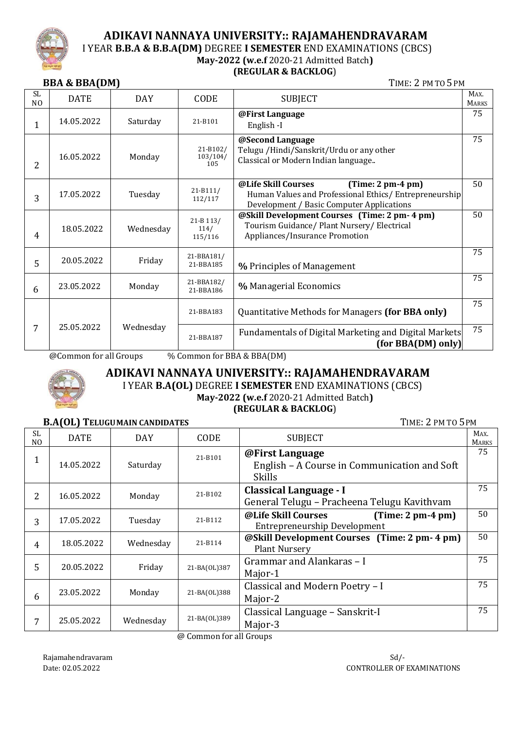

# **ADIKAVI NANNAYA UNIVERSITY:: RAJAMAHENDRAVARAM**

I YEAR **B.B.A & B.B.A(DM)** DEGREE **I SEMESTER** END EXAMINATIONS (CBCS)

#### **May-2022 (w.e.f** 2020-21 Admitted Batch**) (REGULAR & BACKLOG**)

# **BBA & BBA(DM)** TIME: 2 PM TO 5PM

|                       | ויישות שטש השט |            |                              |                                                                                                                                                   |                      |  |
|-----------------------|----------------|------------|------------------------------|---------------------------------------------------------------------------------------------------------------------------------------------------|----------------------|--|
| SL.<br>N <sub>O</sub> | <b>DATE</b>    | <b>DAY</b> | CODE                         | <b>SUBJECT</b>                                                                                                                                    | MAX.<br><b>MARKS</b> |  |
| $\mathbf{1}$          | 14.05.2022     | Saturday   | 21-B101                      | @First Language<br>English-I                                                                                                                      | 75                   |  |
| $\overline{2}$        | 16.05.2022     | Monday     | 21-B102/<br>103/104/<br>105  | @Second Language<br>Telugu / Hindi/Sanskrit/Urdu or any other<br>Classical or Modern Indian language                                              | 75                   |  |
| 3                     | 17.05.2022     | Tuesday    | $21 - B111/$<br>112/117      | @Life Skill Courses<br>$(Time: 2 pm-4 pm)$<br>Human Values and Professional Ethics/ Entrepreneurship<br>Development / Basic Computer Applications | 50                   |  |
| 4                     | 18.05.2022     | Wednesday  | 21-B 113/<br>114/<br>115/116 | @Skill Development Courses (Time: 2 pm- 4 pm)<br>Tourism Guidance/ Plant Nursery/ Electrical<br>Appliances/Insurance Promotion                    | 50                   |  |
| 5                     | 20.05.2022     | Friday     | 21-BBA181/<br>21-BBA185      | % Principles of Management                                                                                                                        | 75                   |  |
| 6                     | 23.05.2022     | Monday     | 21-BBA182/<br>21-BBA186      | % Managerial Economics                                                                                                                            | 75                   |  |
|                       |                |            | 21-BBA183                    | Quantitative Methods for Managers (for BBA only)                                                                                                  | 75                   |  |
| $\overline{7}$        | 25.05.2022     | Wednesday  | 21-BBA187                    | Fundamentals of Digital Marketing and Digital Markets<br>for BBA(DM) only)                                                                        | 75                   |  |

@Common for all Groups % Common for BBA & BBA(DM)



## **ADIKAVI NANNAYA UNIVERSITY:: RAJAMAHENDRAVARAM** I YEAR **B.A(OL)** DEGREE **I SEMESTER** END EXAMINATIONS (CBCS)

**May-2022 (w.e.f** 2020-21 Admitted Batch**)**

### **(REGULAR & BACKLOG**)

### **B.A(OL) TELUGUMAIN CANDIDATES** TIME: 2 PM TO 5 PM

| <b>SL</b><br>N <sub>O</sub> | <b>DATE</b> | <b>DAY</b> | CODE         | <b>SUBJECT</b>                                                                    | MAX.<br><b>MARKS</b> |
|-----------------------------|-------------|------------|--------------|-----------------------------------------------------------------------------------|----------------------|
| 1<br>T                      | 14.05.2022  | Saturday   | 21-B101      | @First Language<br>English - A Course in Communication and Soft<br>Skills         | 75                   |
| 2                           | 16.05.2022  | Monday     | 21-B102      | Classical Language - I<br>General Telugu - Pracheena Telugu Kavithvam             | 75                   |
| 3                           | 17.05.2022  | Tuesday    | 21-B112      | @Life Skill Courses<br>$(Time: 2 pm-4 pm)$<br><b>Entrepreneurship Development</b> | 50                   |
| 4                           | 18.05.2022  | Wednesday  | 21-B114      | @Skill Development Courses (Time: 2 pm- 4 pm)<br><b>Plant Nursery</b>             | 50                   |
| 5                           | 20.05.2022  | Friday     | 21-BA(OL)387 | Grammar and Alankaras - I<br>Major-1                                              | 75                   |
| 6                           | 23.05.2022  | Monday     | 21-BA(OL)388 | Classical and Modern Poetry - I<br>Major-2                                        | 75                   |
| 7                           | 25.05.2022  | Wednesday  | 21-BA(OL)389 | Classical Language - Sanskrit-I<br>Major-3                                        | 75                   |

@ Common for all Groups